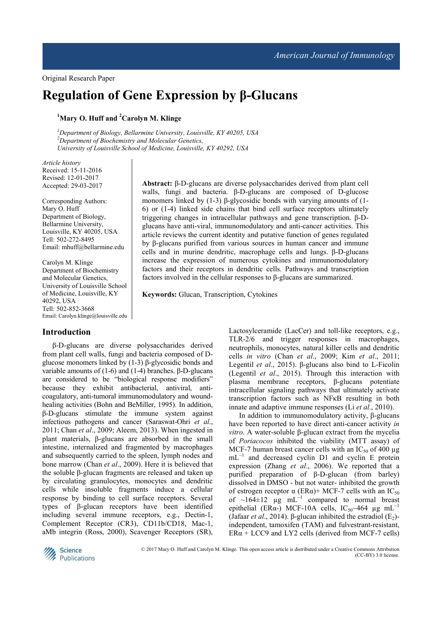# **Regulation of Gene Expression by β-Glucans**

# **<sup>1</sup>Mary O. Huff and <sup>2</sup>Carolyn M. Klinge**

*<sup>1</sup>Department of Biology, Bellarmine University, Louisville, KY 40205, USA <sup>2</sup>Department of Biochemistry and Molecular Genetics, University of Louisville School of Medicine, Louisville, KY 40292, USA* 

*Article history*  Received: 15-11-2016 Revised: 12-01-2017 Accepted: 29-03-2017

Corresponding Authors: Mary O. Huff Department of Biology, Bellarmine University, Louisville, KY 40205, USA Tell: 502-272-8495 Email: mhuff@bellarmine.edu

Carolyn M. Klinge Department of Biochemistry and Molecular Genetics, University of Louisville School of Medicine, Louisville, KY 40292, USA Tell: 502-852-3668 Email: Carolyn.klinge@louisville.edu

## **Introduction**

β-D-glucans are diverse polysaccharides derived from plant cell walls, fungi and bacteria composed of Dglucose monomers linked by (1-3) β-glycosidic bonds and variable amounts of (1-6) and (1-4) branches. β-D-glucans are considered to be "biological response modifiers" because they exhibit antibacterial, antiviral, anticoagulatory, anti-tumoral immunomodulatory and woundhealing activities (Bohn and BeMiller, 1995). In addition, β-D-glucans stimulate the immune system against infectious pathogens and cancer (Saraswat-Ohri *et al*., 2011; Chan *et al*., 2009; Aleem, 2013). When ingested in plant materials, β-glucans are absorbed in the small intestine, internalized and fragmented by macrophages and subsequently carried to the spleen, lymph nodes and bone marrow (Chan *et al*., 2009). Here it is believed that the soluble β-glucan fragments are released and taken up by circulating granulocytes, monocytes and dendritic cells while insoluble fragments induce a cellular response by binding to cell surface receptors. Several types of β-glucan receptors have been identified including several immune receptors, e.g., Dectin-1, Complement Receptor (CR3), CD11b/CD18, Mac-1, aMb integrin (Ross, 2000), Scavenger Receptors (SR),

**Abstract:** β-D-glucans are diverse polysaccharides derived from plant cell walls, fungi and bacteria. β-D-glucans are composed of D-glucose monomers linked by (1-3) β-glycosidic bonds with varying amounts of (1- 6) or (1-4) linked side chains that bind cell surface receptors ultimately triggering changes in intracellular pathways and gene transcription. β-Dglucans have anti-viral, immunomodulatory and anti-cancer activities. This article reviews the current identity and putative function of genes regulated by β-glucans purified from various sources in human cancer and immune cells and in murine dendritic, macrophage cells and lungs. β-D-glucans increase the expression of numerous cytokines and immunomodulatory factors and their receptors in dendritic cells. Pathways and transcription factors involved in the cellular responses to β-glucans are summarized.

**Keywords:** Glucan, Transcription, Cytokines

Lactosylceramide (LacCer) and toll-like receptors, e.g., TLR-2/6 and trigger responses in macrophages, neutrophils, monocytes, natural killer cells and dendritic cells *in vitro* (Chan *et al*., 2009; Kim *et al*., 2011; Legentil *et al*., 2015). β-glucans also bind to L-Ficolin (Legentil *et al*., 2015). Through this interaction with plasma membrane receptors, β-glucans potentiate intracellular signaling pathways that ultimately activate transcription factors such as NFκB resulting in both innate and adaptive immune responses (Li *et al*., 2010).

In addition to immunomodulatory activity, β-glucans have been reported to have direct anti-cancer activity *in vitro*. A water-soluble β-glucan extract from the mycelia of *Poriacocos* inhibited the viability (MTT assay) of MCF-7 human breast cancer cells with an  $IC_{50}$  of 400  $\mu$ g mL<sup>-1</sup> and decreased cyclin D1 and cyclin E protein expression (Zhang *et al*., 2006). We reported that a purified preparation of β-D-glucan (from barley) dissolved in DMSO - but not water- inhibited the growth of estrogen receptor  $\alpha$  (ERα)+ MCF-7 cells with an IC<sub>50</sub> of ~164±12  $\mu$ g mL<sup>-1</sup> compared to normal breast epithelial (ER $\alpha$ -) MCF-10A cells, IC<sub>50</sub>~464 µg mL<sup>-1</sup> (Jafaar *et al.*, 2014). β-glucan inhibited the estradiol  $(E_2)$ independent, tamoxifen (TAM) and fulvestrant-resistant,  $ER\alpha + LCC9$  and LY2 cells (derived from MCF-7 cells)



© 2017 Mary O. Huff and Carolyn M. Klinge. This open access article is distributed under a Creative Commons Attribution (CC-BY) 3.0 license.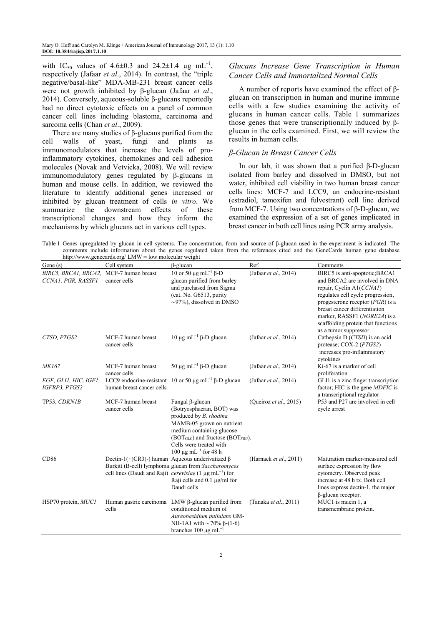with IC<sub>50</sub> values of 4.6±0.3 and 24.2±1.4 µg mL<sup>-1</sup>, respectively (Jafaar *et al*., 2014). In contrast, the "triple negative/basal-like" MDA-MB-231 breast cancer cells were not growth inhibited by β-glucan (Jafaar *et al*., 2014). Conversely, aqueous-soluble β-glucans reportedly had no direct cytotoxic effects on a panel of common cancer cell lines including blastoma, carcinoma and sarcoma cells (Chan *et al*., 2009).

There are many studies of  $\beta$ -glucans purified from the cell walls of yeast, fungi and plants as immunomodulators that increase the levels of proinflammatory cytokines, chemokines and cell adhesion molecules (Novak and Vetvicka, 2008). We will review immunomodulatory genes regulated by β-glucans in human and mouse cells. In addition, we reviewed the literature to identify additional genes increased or inhibited by glucan treatment of cells *in vitro*. We summarize the downstream effects of these transcriptional changes and how they inform the mechanisms by which glucans act in various cell types.

#### *Glucans Increase Gene Transcription in Human Cancer Cells and Immortalized Normal Cells*

A number of reports have examined the effect of βglucan on transcription in human and murine immune cells with a few studies examining the activity of glucans in human cancer cells. Table 1 summarizes those genes that were transcriptionally induced by βglucan in the cells examined. First, we will review the results in human cells.

#### *β-Glucan in Breast Cancer Cells*

In our lab, it was shown that a purified β-D-glucan isolated from barley and dissolved in DMSO, but not water, inhibited cell viability in two human breast cancer cells lines: MCF-7 and LCC9, an endocrine-resistant (estradiol, tamoxifen and fulvestrant) cell line derived from MCF-7. Using two concentrations of β-D-glucan, we examined the expression of a set of genes implicated in breast cancer in both cell lines using PCR array analysis.

Table 1. Genes upregulated by glucan in cell systems. The concentration, form and source of β-glucan used in the experiment is indicated. The comments include information about the genes regulated taken from the references cited and the GeneCards human gene database

| http://www.genecards.org/ $LMW = low$ molecular weight        |                                                       |                                                                                                                                                                                                                                                     |                        |                                                                                                                                                                                                                                                                                                        |  |  |  |  |
|---------------------------------------------------------------|-------------------------------------------------------|-----------------------------------------------------------------------------------------------------------------------------------------------------------------------------------------------------------------------------------------------------|------------------------|--------------------------------------------------------------------------------------------------------------------------------------------------------------------------------------------------------------------------------------------------------------------------------------------------------|--|--|--|--|
| Gene $(s)$                                                    | Cell system                                           | $\beta$ -glucan                                                                                                                                                                                                                                     | Ref.                   | Comments                                                                                                                                                                                                                                                                                               |  |  |  |  |
| BIRC5, BRCA1, BRCA2, MCF-7 human breast<br>CCNA1, PGR, RASSF1 | cancer cells                                          | 10 or 50 μg mL <sup>-1</sup> β-D<br>glucan purified from barley<br>and purchased from Sigma<br>(cat. No. G6513, purity<br>$\sim$ 97%), dissolved in DMSO                                                                                            | (Jafaar et al., 2014)  | BIRC5 is anti-apoptotic; BRCA1<br>and BRCA2 are involved in DNA<br>repair, Cyclin A1(CCNA1)<br>regulates cell cycle progression,<br>progesterone receptor $(PGR)$ is a<br>breast cancer differentiation<br>marker, RASSF1 (NORE2A) is a<br>scaffolding protein that functions<br>as a tumor suppressor |  |  |  |  |
| CTSD, PTGS2                                                   | MCF-7 human breast<br>cancer cells                    | $10 \mu$ g mL <sup>-1</sup> β-D glucan                                                                                                                                                                                                              | (Jafaar et al., 2014)  | Cathepsin D (CTSD) is an acid<br>protease; $COX-2$ ( $PTGS2$ )<br>increases pro-inflammatory<br>cytokines                                                                                                                                                                                              |  |  |  |  |
| MK167                                                         | MCF-7 human breast<br>cancer cells                    | 50 μg mL <sup>-1</sup> β-D glucan                                                                                                                                                                                                                   | (Jafaar et al., 2014)  | Ki-67 is a marker of cell<br>proliferation                                                                                                                                                                                                                                                             |  |  |  |  |
| EGF, GLI1, HIC, IGF1,<br>IGFBP3, PTGS2                        | human breast cancer cells                             | LCC9 endocrine-resistant 10 or 50 $\mu$ g mL <sup>-1</sup> $\beta$ -D glucan                                                                                                                                                                        | (Jafaar et al., 2014)  | GLI1 is a zinc finger transcription<br>factor; HIC is the gene <i>MDFIC</i> is<br>a transcriptional regulator                                                                                                                                                                                          |  |  |  |  |
| TP53, CDKN1B                                                  | MCF-7 human breast<br>cancer cells                    | Fungal β-glucan<br>(Botryosphaeran, BOT) was<br>produced by <i>B. rhodina</i><br>MAMB-05 grown on nutrient<br>medium containing glucose<br>$(BOTGLC)$ and fructose $(BOTFRU)$ .<br>Cells were treated with<br>$100 \mu g$ mL <sup>-1</sup> for 48 h | (Queiroz et al., 2015) | P53 and P27 are involved in cell<br>cycle arrest                                                                                                                                                                                                                                                       |  |  |  |  |
| CD86                                                          | Dectin-1(+)CR3(-) human Aqueous underivatized $\beta$ | Burkitt (B-cell) lymphoma glucan from Saccharomyces<br>cell lines (Daudi and Raji) <i>cerevisiae</i> (1 $\mu$ g mL <sup>-1</sup> ) for<br>Raji cells and $0.1 \mu g/ml$ for<br>Daudi cells                                                          | (Harnack et al., 2011) | Maturation marker-measured cell<br>surface expression by flow<br>cytometry. Observed peak<br>increase at 48 h tx. Both cell<br>lines express dectin-1, the major<br>$\beta$ -glucan receptor.                                                                                                          |  |  |  |  |
| HSP70 protein, MUC1                                           | cells                                                 | Human gastric carcinoma $LMW \beta$ -glucan purified from<br>conditioned medium of<br>Aureobasidium pullulans GM-<br>NH-1A1 with $\sim$ 70% $\beta$ -(1-6)<br>branches 100 $\mu$ g mL <sup>-1</sup>                                                 | (Tanaka et al., 2011)  | MUC1 is mucin 1, a<br>transmembrane protein.                                                                                                                                                                                                                                                           |  |  |  |  |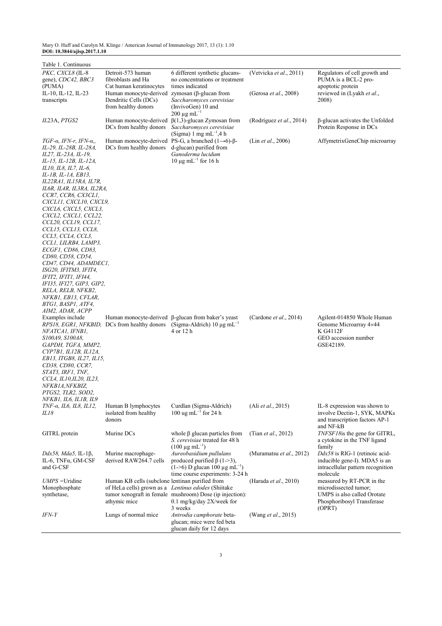Mary O. Huff and Carolyn M. Klinge / American Journal of Immunology 2017, 13 (1): 1.10 **DOI: 10.3844/ajisp.2017.1.10**

| Table 1. Continuous                         |                                                       |                                                                        |                                |                                   |
|---------------------------------------------|-------------------------------------------------------|------------------------------------------------------------------------|--------------------------------|-----------------------------------|
| PKC, CXCL8 (IL-8                            | Detroit-573 human                                     | 6 different synthetic glucans-                                         | (Vetvicka et al., 2011)        | Regulators of cell growth and     |
| gene), CDC42, BBC3                          | fibroblasts and Ha                                    | no concentrations or treatment                                         |                                | PUMA is a BCL-2 pro-              |
| (PUMA)                                      | Cat human keratinocytes                               | times indicated                                                        |                                | apoptotic protein                 |
| IL-10, IL-12, IL-23                         | Human monocyte-derived zymosan ( $\beta$ -glucan from |                                                                        | (Gerosa et al., 2008)          | reviewed in (Lyakh et al.,        |
| transcripts                                 | Dendritic Cells (DCs)                                 | Saccharomyces cerevisiae                                               |                                | 2008)                             |
|                                             | from healthy donors                                   | (InvivoGen) 10 and                                                     |                                |                                   |
|                                             |                                                       | $200 \mu g \text{ mL}^{-1}$                                            |                                |                                   |
| IL23A, PTGS2                                |                                                       | Human monocyte-derived $\beta(1,3)$ -glucan Zymosan from               | (Rodríguez et al., 2014)       | β-glucan activates the Unfolded   |
|                                             | DCs from healthy donors                               | Saccharomyces cerevisiae                                               |                                | Protein Response in DCs           |
|                                             |                                                       | $(Sigma)$ 1 mg mL <sup>-1</sup> ,4 h                                   |                                |                                   |
| TGF- $\alpha$ , IFN- $r$ , IFN- $\alpha$ ,, |                                                       | Human monocyte-derived PS-G, a branched $(1\rightarrow 6)$ - $\beta$ - | (Lin et al., 2006)             | AffymetrixGeneChip microarray     |
| IL-29, IL-28B, IL-28A,                      | DCs from healthy donors                               | d-glucan) purified from                                                |                                |                                   |
| IL27, IL-23A, IL-19,                        |                                                       | Ganoderma lucidum                                                      |                                |                                   |
| IL-15, IL-12B, IL-12A,                      |                                                       | $10 \mu g$ mL <sup>-1</sup> for 16 h                                   |                                |                                   |
| IL10, IL8, IL7, IL-6,                       |                                                       |                                                                        |                                |                                   |
| IL-1B, IL-1A, EB13,                         |                                                       |                                                                        |                                |                                   |
| IL22RA1, IL15RA, IL7R,                      |                                                       |                                                                        |                                |                                   |
| IL6R, IL4R, IL3RA, IL2RA,                   |                                                       |                                                                        |                                |                                   |
| CCR7, CCR6, CX3CL1,                         |                                                       |                                                                        |                                |                                   |
| CXCLII, CXCLI0, CXCL9,                      |                                                       |                                                                        |                                |                                   |
| CXCL6, CXCL5, CXCL3,                        |                                                       |                                                                        |                                |                                   |
| CXCL2, CXCL1, CCL22,                        |                                                       |                                                                        |                                |                                   |
| CCL20, CCL19, CCL17,                        |                                                       |                                                                        |                                |                                   |
| CCL15, CCL13, CCL8,                         |                                                       |                                                                        |                                |                                   |
| CCL5, CCL4, CCL3,                           |                                                       |                                                                        |                                |                                   |
| CCLI, LILRB4, LAMP3,                        |                                                       |                                                                        |                                |                                   |
| ECGF1, CD86, CD83,                          |                                                       |                                                                        |                                |                                   |
| CD80, CD58, CD54,                           |                                                       |                                                                        |                                |                                   |
| CD47, CD44, ADAMDEC1,                       |                                                       |                                                                        |                                |                                   |
| ISG20, IFITM3, IFIT4,                       |                                                       |                                                                        |                                |                                   |
| IFIT2, IFIT1, IFI44,                        |                                                       |                                                                        |                                |                                   |
| IF135, IF127, GIP3, GIP2,                   |                                                       |                                                                        |                                |                                   |
| RELA, RELB, NFKB2,                          |                                                       |                                                                        |                                |                                   |
| NFKB1, EB13, CFLAR,                         |                                                       |                                                                        |                                |                                   |
| BTG1, BASP1, ATF4,                          |                                                       |                                                                        |                                |                                   |
| AIM2, ADAR, ACPP                            |                                                       |                                                                        |                                |                                   |
| Examples include                            |                                                       | Human monocyte-derived $\beta$ -glucan from baker's yeast              | (Cardone <i>et al.</i> , 2014) | Agilent-014850 Whole Human        |
|                                             | RPS18, EGR1, NFKBID, DCs from healthy donors          | (Sigma-Aldrich) $10 \mu g \text{m}$ L <sup>-1</sup>                    |                                | Genome Microarray 4×44            |
| NFATCA1, IFNB1,                             |                                                       | 4 or 12 h                                                              |                                | K G4112F                          |
| S100A9, S100A8,                             |                                                       |                                                                        |                                | GEO accession number              |
| GAPDH, TGFA, MMP2,                          |                                                       |                                                                        |                                | GSE42189.                         |
| CYP7B1, IL12B, IL12A,                       |                                                       |                                                                        |                                |                                   |
| EB13, ITGB8, IL27, IL15,                    |                                                       |                                                                        |                                |                                   |
| CD38, CD80, CCR7,                           |                                                       |                                                                        |                                |                                   |
| STAT3, IRF1, TNF,                           |                                                       |                                                                        |                                |                                   |
| CCL4, IL10,IL20, IL23,                      |                                                       |                                                                        |                                |                                   |
| NFKB1A,NFKBIZ,                              |                                                       |                                                                        |                                |                                   |
| PTGS2, TLR2, SOD2,                          |                                                       |                                                                        |                                |                                   |
| NFKB1, IL6, IL1B, IL9                       |                                                       |                                                                        |                                |                                   |
| TNF-α, IL6, IL8, IL12,                      | Human B lymphocytes                                   | Curdlan (Sigma-Aldrich)                                                | (Ali <i>et al.</i> , 2015)     | IL-8 expression was shown to      |
| IL18                                        | isolated from healthy                                 | 100 ug mL $^{-1}$ for 24 h                                             |                                | involve Dectin-1, SYK, MAPKs      |
|                                             | donors                                                |                                                                        |                                | and transcription factors AP-1    |
|                                             |                                                       |                                                                        |                                | and NF-kB                         |
| GITRL protein                               | Murine DCs                                            | whole $\beta$ glucan particles from                                    | (Tian et al., 2012)            | TNFSF18 is the gene for GITRL,    |
|                                             |                                                       | S. cerevisiae treated for 48 h                                         |                                | a cytokine in the TNF ligand      |
|                                             |                                                       | $(100 \mu g \text{ mL}^{-1})$                                          |                                | family                            |
| Ddx58, Mda5, IL-1 <sub>B</sub> ,            | Murine macrophage-                                    | Aureobasidium pullulans                                                | (Muramatsu et al., 2012)       | $Ddx58$ is RIG-1 (retinoic acid-  |
| IL-6, TNFα, GM-CSF                          | derived RAW264.7 cells                                | produced purified $\beta$ (1->3),                                      |                                | inducible gene-I). MDA5 is an     |
| and G-CSF                                   |                                                       | $(1-6)$ D glucan 100 $\mu$ g mL <sup>-1</sup> )                        |                                | intracellular pattern recognition |
|                                             |                                                       | time course experiments: 3-24 h                                        |                                | molecule                          |
| $UMPS =$ Uridine                            | Human KB cells (subclone lentinan purified from       |                                                                        | (Harada et al., 2010)          | measured by RT-PCR in the         |
| Monophosphate                               | of HeLa cells) grown as a Lentinus edodes (Shiitake   |                                                                        |                                | microdissected tumor;             |
| synthetase,                                 |                                                       | tumor xenograft in female mushroom) Dose (ip injection):               |                                | UMPS is also called Orotate       |
|                                             | athymic mice                                          | 0.1 mg/kg/day 2X/week for                                              |                                | Phosphoribosyl Transferase        |
|                                             |                                                       | 3 weeks                                                                |                                | (OPRT)                            |
| IFN-Y                                       | Lungs of normal mice                                  | Antrodia camphorate beta-                                              | (Wang et al., 2015)            |                                   |
|                                             |                                                       | glucan; mice were fed beta<br>glucan daily for 12 days                 |                                |                                   |
|                                             |                                                       |                                                                        |                                |                                   |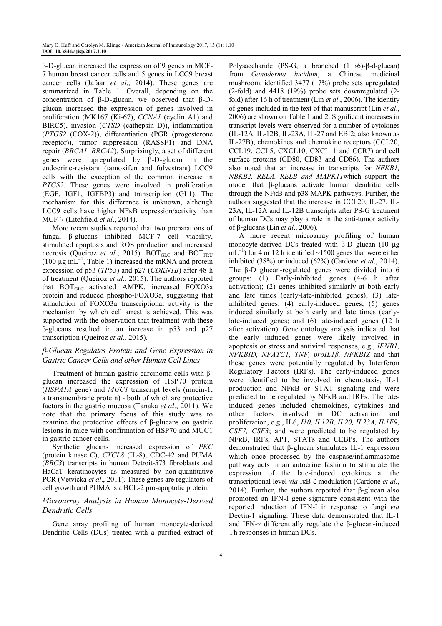β-D-glucan increased the expression of 9 genes in MCF-7 human breast cancer cells and 5 genes in LCC9 breast cancer cells (Jafaar *et al*., 2014). These genes are summarized in Table 1. Overall, depending on the concentration of β-D-glucan, we observed that β-Dglucan increased the expression of genes involved in proliferation (MK167 (Ki-67), *CCNA1* (cyclin A1) and BIRC5), invasion (*CTSD* (cathepsin D)), inflammation (*PTGS2* (COX-2)), differentiation (PGR (progesterone receptor)), tumor suppression (RASSF1) and DNA repair (*BRCA1, BRCA2*). Surprisingly, a set of different genes were upregulated by β-D-glucan in the endocrine-resistant (tamoxifen and fulvestrant) LCC9 cells with the exception of the common increase in *PTGS2*. These genes were involved in proliferation (EGF, IGF1, IGFBP3) and transcription (GL1). The mechanism for this difference is unknown, although LCC9 cells have higher NF<sub>KB</sub> expression/activity than MCF-7 (Litchfield *et al*., 2014).

More recent studies reported that two preparations of fungal β-glucans inhibited MCF-7 cell viability, stimulated apoptosis and ROS production and increased necrosis (Queiroz *et al.*, 2015). BOT<sub>GLC</sub> and BOT<sub>FRU</sub> (100  $\mu$ g mL<sup>-1</sup>, Table 1) increased the mRNA and protein expression of p53 (*TP53*) and p27 (*CDKN1B*) after 48 h of treatment (Queiroz *et al*., 2015). The authors reported that BOT<sub>GLC</sub> activated AMPK, increased FOXO3a protein and reduced phospho-FOXO3a, suggesting that stimulation of FOXO3a transcriptional activity is the mechanism by which cell arrest is achieved. This was supported with the observation that treatment with these β-glucans resulted in an increase in p53 and p27 transcription (Queiroz *et al*., 2015).

### *β-Glucan Regulates Protein and Gene Expression in Gastric Cancer Cells and other Human Cell Lines*

Treatment of human gastric carcinoma cells with βglucan increased the expression of HSP70 protein (*HSPA1A* gene) and *MUC1* transcript levels (mucin-1, a transmembrane protein) - both of which are protective factors in the gastric mucosa (Tanaka *et al*., 2011). We note that the primary focus of this study was to examine the protective effects of β-glucans on gastric lesions in mice with confirmation of HSP70 and MUC1 in gastric cancer cells.

Synthetic glucans increased expression of *PKC* (protein kinase C), *CXCL8* (IL-8), CDC-42 and PUMA (*BBC3*) transcripts in human Detroit-573 fibroblasts and HaCaT keratinocytes as measured by non-quantitative PCR (Vetvicka *et al*., 2011). These genes are regulators of cell growth and PUMA is a BCL-2 pro-apoptotic protein.

### *Microarray Analysis in Human Monocyte-Derived Dendritic Cells*

Gene array profiling of human monocyte-derived Dendritic Cells (DCs) treated with a purified extract of Polysaccharide (PS-G, a branched  $(1\rightarrow 6)$ -β-d-glucan) from *Ganoderma lucidum*, a Chinese medicinal mushroom, identified 3477 (17%) probe sets upregulated (2-fold) and 4418 (19%) probe sets downregulated (2 fold) after 16 h of treatment (Lin *et al*., 2006). The identity of genes included in the text of that manuscript (Lin *et al*., 2006) are shown on Table 1 and 2. Significant increases in transcript levels were observed for a number of cytokines (IL-12A, IL-12B, IL-23A, IL-27 and EBI2; also known as IL-27B), chemokines and chemokine receptors (CCL20, CCL19, CCL5, CXCL10, CXCL11 and CCR7) and cell surface proteins (CD80, CD83 and CD86). The authors also noted that an increase in transcripts for *NFKB1, NBKB2, RELA, RELB and MAPK11*which support the model that β-glucans activate human dendritic cells through the NFκB and p38 MAPK pathways. Further, the authors suggested that the increase in CCL20, IL-27, IL-23A, IL-12A and IL-12B transcripts after PS-G treatment of human DCs may play a role in the anti-tumor activity of β-glucans (Lin *et al*., 2006).

A more recent microarray profiling of human monocyte-derived DCs treated with β-D glucan (10 µg  $mL^{-1}$ ) for 4 or 12 h identified ~1500 genes that were either inhibited (38%) or induced (62%) (Cardone *et al*., 2014). The β-D glucan-regulated genes were divided into 6 groups: (1) Early-inhibited genes (4-6 h after activation); (2) genes inhibited similarly at both early and late times (early-late-inhibited genes); (3) lateinhibited genes; (4) early-induced genes; (5) genes induced similarly at both early and late times (earlylate-induced genes; and (6) late-induced genes (12 h after activation). Gene ontology analysis indicated that the early induced genes were likely involved in apoptosis or stress and antiviral responses, e.g., *IFNB1, NFKBID, NFATC1, TNF, proIL1β, NFKBIZ* and that these genes were potentially regulated by Interferon Regulatory Factors (IRFs). The early-induced genes were identified to be involved in chemotaxis, IL-1 production and NFκB or STAT signaling and were predicted to be regulated by NFκB and IRFs. The lateinduced genes included chemokines, cytokines and other factors involved in DC activation and proliferation, e.g., IL6, *I10, IL12B, IL20, IL23A, IL1F9, CSF7, CSF3*; and were predicted to be regulated by NFκB, IRFs, AP1, STATs and CEBPs. The authors demonstrated that β-glucan stimulates IL-1 expression which once processed by the caspase/inflammasome pathway acts in an autocrine fashion to stimulate the expression of the late-induced cytokines at the transcriptional level *via* IκB-ζ modulation (Cardone *et al*., 2014). Further, the authors reported that β-glucan also promoted an IFN-I gene signature consistent with the reported induction of IFN-I in response to fungi *via* Dectin-1 signaling. These data demonstrated that IL-1 and IFN-γ differentially regulate the β-glucan-induced Th responses in human DCs.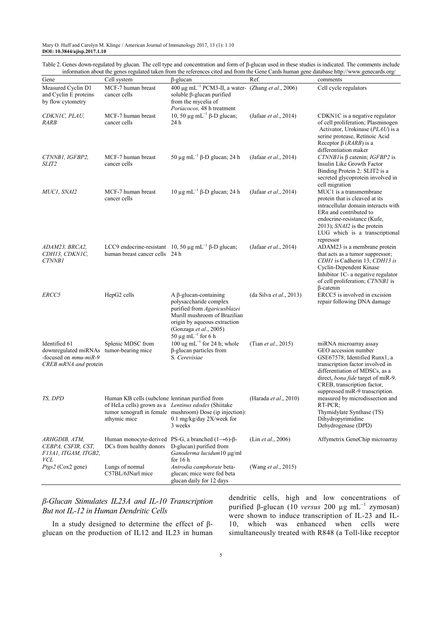Mary O. Huff and Carolyn M. Klinge / American Journal of Immunology 2017, 13 (1): 1.10 **DOI: 10.3844/ajisp.2017.1.10**

Table 2. Genes down-regulated by glucan. The cell type and concentration and form of β-glucan used in these studies is indicated. The comments include<br>information about the genes regulated taken from the references cited information about the general about the genes regulated taken from the references cited and from the Gene Cards human gene database http://www.genecards.org/

|                                                                                                                   | Cell system                                                     |                                                                                                                                                                                                                    | Ref.                    | miormanon about the genes regulated taken from the references enca and from the Oche Cards human gene database mip.//www.genecards.org/                                                                                                                       |
|-------------------------------------------------------------------------------------------------------------------|-----------------------------------------------------------------|--------------------------------------------------------------------------------------------------------------------------------------------------------------------------------------------------------------------|-------------------------|---------------------------------------------------------------------------------------------------------------------------------------------------------------------------------------------------------------------------------------------------------------|
| Gene                                                                                                              |                                                                 | $\beta$ -glucan                                                                                                                                                                                                    |                         | comments                                                                                                                                                                                                                                                      |
| Measured Cyclin D1<br>and Cyclin E proteins<br>by flow cytometry                                                  | MCF-7 human breast<br>cancer cells                              | 400 µg mL <sup>-1</sup> PCM3-II, a water- (Zhang et al., 2006)<br>soluble $\beta$ -glucan purified<br>from the mycelia of<br>Poriacocos, 48 h treatment                                                            |                         | Cell cycle regulators                                                                                                                                                                                                                                         |
| CDKNIC, PLAU,<br>RARB                                                                                             | MCF-7 human breast<br>cancer cells                              | 10, 50 μg mL <sup>-1</sup> β-D glucan;<br>24 h                                                                                                                                                                     | (Jafaar et al., 2014)   | CDKN1C is a negative regulator<br>of cell proliferation; Plasminogen<br>Activator, Urokinase (PLAU) is a<br>serine protease, Retinoic Acid<br>Receptor $\beta$ ( <i>RARB</i> ) is a<br>differentiation maker                                                  |
| CTNNB1, IGFBP2,<br><i>SLIT2</i>                                                                                   | MCF-7 human breast<br>cancer cells                              | 50 μg mL <sup>-1</sup> β-D glucan; 24 h                                                                                                                                                                            | (Jafaar et al., 2014)   | CTNNB1 is $\beta$ catenin; IGFBP2 is<br>Insulin Like Growth Factor<br>Binding Protein 2; SLIT2 is a<br>secreted glycoprotein involved in<br>cell migration                                                                                                    |
| MUC1, SNA12                                                                                                       | MCF-7 human breast<br>cancer cells                              | 10 μg mL <sup>-1</sup> β-D glucan; 24 h                                                                                                                                                                            | (Jafaar et al., 2014)   | MUC1 is a transmembrane<br>protein that is cleaved at its<br>intracellular domain interacts with<br>$ER\alpha$ and contributed to<br>endocrine-resistance (Kufe,<br>2013); SNAI2 is the protein<br>LUG which is a transcriptional<br>repressor                |
| ADAM23, BRCA2,<br>CDH13, CDKN1C,<br><b>CTNNB1</b>                                                                 | human breast cancer cells 24 h                                  | LCC9 endocrine-resistant 10, 50 $\mu$ g mL <sup>-1</sup> $\beta$ -D glucan;                                                                                                                                        | (Jafaar et al., 2014)   | ADAM23 is a membrane protein<br>that acts as a tumor suppressor;<br>CDH1 is Cadherin 13; CDH13 is<br>Cyclin-Dependent Kinase<br>Inhibitor 1C- a negative regulator<br>of cell proliferation; CTNNB1 is<br>$\beta$ -catenin                                    |
| ERCC5                                                                                                             | HepG2 cells                                                     | $A \beta$ -glucan-containing<br>polysaccharide complex<br>purified from Agaricusblazei<br>Murill mushroom of Brazilian<br>origin by aqueous extraction<br>(Gonzaga et al., 2005)<br>50 µg mL <sup>-1</sup> for 6 h | (da Silva et al., 2013) | ERCC5 is involved in excision<br>repair following DNA damage                                                                                                                                                                                                  |
| Identified 61<br>downregulated miRNAs tumor-bearing mice<br>-focused on <i>mmu-miR-9</i><br>CREB mRNA and protein | Splenic MDSC from                                               | 100 ug mL <sup>-1</sup> for 24 h; whole<br>$\beta$ -glucan particles from<br>S. Cerevisiae                                                                                                                         | (Tian et al., 2015)     | miRNA microarray assay<br>GEO accession number<br>GSE67578; Identified Runx1, a<br>transcription factor involved in<br>differentiation of MDSCs, as a<br>direct, bona fide target of miR-9.<br>CREB, transcription factor,<br>suppressed miR-9 transcription. |
| TS, DPD                                                                                                           | Human KB cells (subclone lentinan purified from<br>athymic mice | of HeLa cells) grown as a Lentinus edodes (Shiitake<br>tumor xenograft in female mushroom) Dose (ip injection):<br>0.1 mg/kg/day 2X/week for<br>3 weeks                                                            | (Harada et al., 2010)   | measured by microdissection and<br>RT-PCR;<br>Thymidylate Synthase (TS)<br>Dihydropyrimidine<br>Dehydrogenase (DPD)                                                                                                                                           |
| ARHGDIB, ATM,<br>CEBPA, CSFIR, CST,<br>F13A1, ITGAM, ITGB2,<br>VCL                                                | DCs from healthy donors                                         | Human monocyte-derived PS-G, a branched $(1\rightarrow 6)$ - $\beta$ -<br>D-glucan) purified from<br>Ganoderma lucidum10 µg/ml<br>for $16h$                                                                        | (Lin et al., 2006)      | Affymetrix GeneChip microarray                                                                                                                                                                                                                                |
| Ptgs2 (Cox2 gene)                                                                                                 | Lungs of normal<br>C57BL/6JNarl mice                            | Antrodia camphorate beta-<br>glucan; mice were fed beta<br>glucan daily for 12 days                                                                                                                                | (Wang et al., 2015)     |                                                                                                                                                                                                                                                               |

*β-Glucan Stimulates IL23A and IL-10 Transcription But not IL-12 in Human Dendritic Cells* 

In a study designed to determine the effect of  $β$ glucan on the production of IL12 and IL23 in human

dendritic cells, high and low concentrations of purified β-glucan (10 *versus* 200 µg mL<sup>−</sup><sup>1</sup> zymosan) were shown to induce transcription of IL-23 and IL-10, which was enhanced when cells were simultaneously treated with R848 (a Toll-like receptor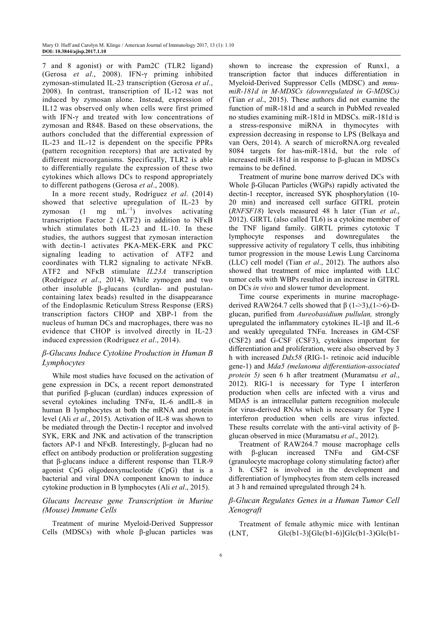7 and 8 agonist) or with Pam2C (TLR2 ligand) (Gerosa *et al*., 2008). IFN-γ priming inhibited zymosan-stimulated IL-23 transcription (Gerosa *et al*., 2008). In contrast, transcription of IL-12 was not induced by zymosan alone. Instead, expression of IL12 was observed only when cells were first primed with IFN-γ and treated with low concentrations of zymosan and R848. Based on these observations, the authors concluded that the differential expression of IL-23 and IL-12 is dependent on the specific PPRs (pattern recognition receptors) that are activated by different microorganisms. Specifically, TLR2 is able to differentially regulate the expression of these two cytokines which allows DCs to respond appropriately to different pathogens (Gerosa *et al*., 2008).

In a more recent study, Rodríguez *et al*. (2014) showed that selective upregulation of IL-23 by zymosan  $(1$  $mg$  mL<sup>-1</sup>) involves activating transcription Factor 2 (ATF2) in addition to NFκB which stimulates both IL-23 and IL-10. In these studies, the authors suggest that zymosan interaction with dectin-1 activates PKA-MEK-ERK and PKC signaling leading to activation of ATF2 and coordinates with TLR2 signaling to activate NFκB. ATF2 and NFκB stimulate *IL23A* transcription (Rodríguez *et al*., 2014). While zymogen and two other insoluble β-glucans (curdlan- and pustulancontaining latex beads) resulted in the disappearance of the Endoplasmic Reticulum Stress Response (ERS) transcription factors CHOP and XBP-1 from the nucleus of human DCs and macrophages, there was no evidence that CHOP is involved directly in IL-23 induced expression (Rodríguez *et al*., 2014).

## *β-Glucans Induce Cytokine Production in Human B Lymphocytes*

While most studies have focused on the activation of gene expression in DCs, a recent report demonstrated that purified β-glucan (curdlan) induces expression of several cytokines including TNFα, IL-6 andIL-8 in human B lymphocytes at both the mRNA and protein level (Ali *et al*., 2015). Activation of IL-8 was shown to be mediated through the Dectin-1 receptor and involved SYK, ERK and JNK and activation of the transcription factors AP-1 and NFκB. Interestingly, β-glucan had no effect on antibody production or proliferation suggesting that β-glucans induce a different response than TLR-9 agonist CpG oligodeoxynucleotide (CpG) that is a bacterial and viral DNA component known to induce cytokine production in B lymphocytes (Ali *et al*., 2015).

# *Glucans Increase gene Transcription in Murine (Mouse) Immune Cells*

Treatment of murine Myeloid-Derived Suppressor Cells (MDSCs) with whole β-glucan particles was shown to increase the expression of Runx1, a transcription factor that induces differentiation in Myeloid-Derived Suppressor Cells (MDSC) and *mmumiR-181d in M-MDSCs (downregulated in G-MDSCs)*  (Tian *et al*., 2015). These authors did not examine the function of miR-181d and a search in PubMed revealed no studies examining miR-181d in MDSCs. miR-181d is a stress-responsive miRNA in thymocytes with expression decreasing in response to LPS (Belkaya and van Oers, 2014). A search of microRNA.org revealed 8084 targets for has-miR-181d, but the role of increased miR-181d in response to β-glucan in MDSCs remains to be defined.

Treatment of murine bone marrow derived DCs with Whole β-Glucan Particles (WGPs) rapidly activated the dectin-1 receptor, increased SYK phosphorylation (10- 20 min) and increased cell surface GITRL protein (*RNFSF18*) levels measured 48 h later (Tian *et al*., 2012). GIRTL (also called TL6) is a cytokine member of the TNF ligand family. GIRTL primes cytotoxic T lymphocyte responses and downregulates the suppressive activity of regulatory T cells, thus inhibiting tumor progression in the mouse Lewis Lung Carcinoma (LLC) cell model (Tian *et al*., 2012). The authors also showed that treatment of mice implanted with LLC tumor cells with WBPs resulted in an increase in GITRL on DCs *in vivo* and slower tumor development.

Time course experiments in murine macrophagederived RAW264.7 cells showed that  $β$  (1->3),(1->6)-Dglucan, purified from *Aureobasidium pullulan,* strongly upregulated the inflammatory cytokines IL-1β and IL-6 and weakly upregulated TNFα. Increases in GM-CSF (CSF2) and G-CSF (CSF3), cytokines important for differentiation and proliferation, were also observed by 3 h with increased *Ddx58* (RIG-1- retinoic acid inducible gene-1) and *Mda5 (melanoma differentiation-associated protein 5)* seen 6 h after treatment (Muramatsu *et al*., 2012). RIG-1 is necessary for Type I interferon production when cells are infected with a virus and MDA5 is an intracellular pattern recognition molecule for virus-derived RNAs which is necessary for Type I interferon production when cells are virus infected. These results correlate with the anti-viral activity of βglucan observed in mice (Muramatsu *et al*., 2012).

Treatment of RAW264.7 mouse macrophage cells with β-glucan increased TNFα and GM-CSF (granulocyte macrophage colony stimulating factor) after 3 h. CSF2 is involved in the development and differentiation of lymphocytes from stem cells increased at 3 h and remained upregulated through 24 h.

## *β-Glucan Regulates Genes in a Human Tumor Cell Xenograft*

Treatment of female athymic mice with lentinan  $(LNT,$  Glc $(b1-3)$ [Glc $(b1-6)$ ]Glc $(b1-3)$ Glc $(b1-$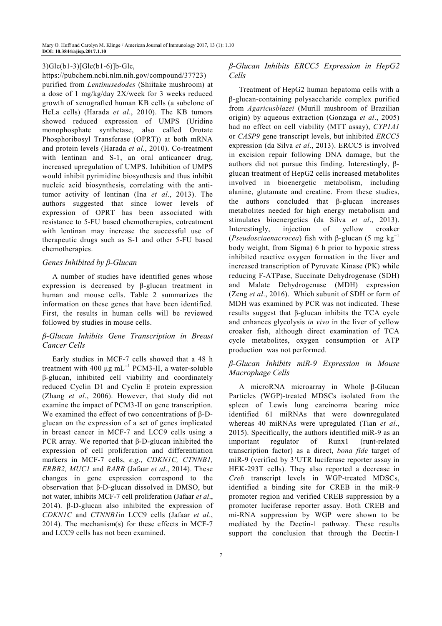#### 3)Glc(b1-3)[Glc(b1-6)]b-Glc,

https://pubchem.ncbi.nlm.nih.gov/compound/37723) purified from *Lentinusedodes* (Shiitake mushroom) at a dose of 1 mg/kg/day 2X/week for 3 weeks reduced growth of xenografted human KB cells (a subclone of HeLa cells) (Harada *et al*., 2010). The KB tumors showed reduced expression of UMPS (Uridine monophosphate synthetase, also called Orotate Phosphoribosyl Transferase (OPRT)) at both mRNA and protein levels (Harada *et al*., 2010). Co-treatment with lentinan and S-1, an oral anticancer drug, increased upregulation of UMPS. Inhibition of UMPS would inhibit pyrimidine biosynthesis and thus inhibit nucleic acid biosynthesis, correlating with the antitumor activity of lentinan (Ina *et al*., 2013). The authors suggested that since lower levels of expression of OPRT has been associated with resistance to 5-FU based chemotherapies, cotreatment with lentinan may increase the successful use of therapeutic drugs such as S-1 and other 5-FU based chemotherapies.

#### *Genes Inhibited by β-Glucan*

A number of studies have identified genes whose expression is decreased by β-glucan treatment in human and mouse cells. Table 2 summarizes the information on these genes that have been identified. First, the results in human cells will be reviewed followed by studies in mouse cells.

## *β-Glucan Inhibits Gene Transcription in Breast Cancer Cells*

Early studies in MCF-7 cells showed that a 48 h treatment with 400  $\mu$ g mL<sup>-1</sup> PCM3-II, a water-soluble β-glucan, inhibited cell viability and coordinately reduced Cyclin D1 and Cyclin E protein expression (Zhang *et al*., 2006). However, that study did not examine the impact of PCM3-II on gene transcription. We examined the effect of two concentrations of β-Dglucan on the expression of a set of genes implicated in breast cancer in MCF-7 and LCC9 cells using a PCR array. We reported that  $β$ -D-glucan inhibited the expression of cell proliferation and differentiation markers in MCF-7 cells, *e.g*., *CDKN1C, CTNNB1, ERBB2, MUC1* and *RARB* (Jafaar *et al*., 2014). These changes in gene expression correspond to the observation that β-D-glucan dissolved in DMSO, but not water, inhibits MCF-7 cell proliferation (Jafaar *et al*., 2014). β-D-glucan also inhibited the expression of *CDKN1C* and *CTNNB1*in LCC9 cells (Jafaar *et al*., 2014). The mechanism(s) for these effects in MCF-7 and LCC9 cells has not been examined.

# *β-Glucan Inhibits ERCC5 Expression in HepG2 Cells*

Treatment of HepG2 human hepatoma cells with a β-glucan-containing polysaccharide complex purified from *Agaricusblazei* (Murill mushroom of Brazilian origin) by aqueous extraction (Gonzaga *et al*., 2005) had no effect on cell viability (MTT assay), *CYP1A1*  or *CASP9* gene transcript levels, but inhibited *ERCC5*  expression (da Silva *et al*., 2013). ERCC5 is involved in excision repair following DNA damage, but the authors did not pursue this finding. Interestingly, βglucan treatment of HepG2 cells increased metabolites involved in bioenergetic metabolism, including alanine, glutamate and creatine. From these studies, the authors concluded that β-glucan increases metabolites needed for high energy metabolism and stimulates bioenergetics (da Silva *et al*., 2013). Interestingly, injection of yellow croaker (*Pseudosciaenacrocea*) fish with  $\beta$ -glucan (5 mg kg<sup>-1</sup>) body weight, from Sigma) 6 h prior to hypoxic stress inhibited reactive oxygen formation in the liver and increased transcription of Pyruvate Kinase (PK) while reducing F-ATPase, Succinate Dehydrogenase (SDH) and Malate Dehydrogenase (MDH) expression (Zeng *et al*., 2016). Which subunit of SDH or form of MDH was examined by PCR was not indicated. These results suggest that β-glucan inhibits the TCA cycle and enhances glycolysis *in vivo* in the liver of yellow croaker fish, although direct examination of TCA cycle metabolites, oxygen consumption or ATP production was not performed.

## *β-Glucan Inhibits miR-9 Expression in Mouse Macrophage Cells*

A microRNA microarray in Whole β-Glucan Particles (WGP)-treated MDSCs isolated from the spleen of Lewis lung carcinoma bearing mice identified 61 miRNAs that were downregulated whereas 40 miRNAs were upregulated (Tian *et al*., 2015). Specifically, the authors identified miR-9 as an important regulator of Runx1 (runt-related transcription factor) as a direct, *bona fide* target of miR-9 (verified by 3'UTR luciferase reporter assay in HEK-293T cells). They also reported a decrease in *Creb* transcript levels in WGP-treated MDSCs, identified a binding site for CREB in the miR-9 promoter region and verified CREB suppression by a promoter luciferase reporter assay. Both CREB and mi-RNA suppression by WGP were shown to be mediated by the Dectin-1 pathway. These results support the conclusion that through the Dectin-1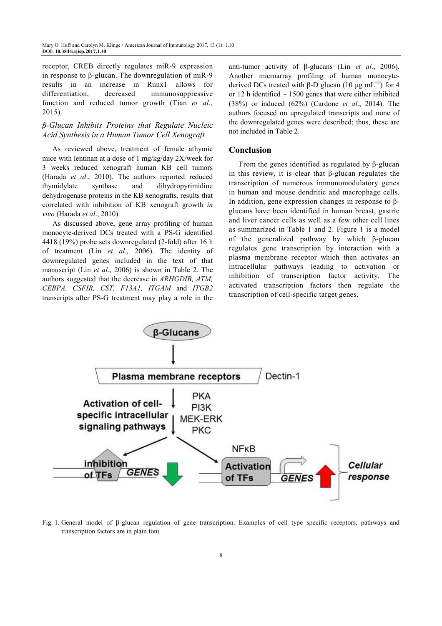receptor, CREB directly regulates miR-9 expression in response to β-glucan. The downregulation of miR-9 results in an increase in Runx1 allows for differentiation, decreased immunosuppressive function and reduced tumor growth (Tian *et al*., 2015).

# *β-Glucan Inhibits Proteins that Regulate Nucleic Acid Synthesis in a Human Tumor Cell Xenograft*

As reviewed above, treatment of female athymic mice with lentinan at a dose of 1 mg/kg/day 2X/week for 3 weeks reduced xenograft human KB cell tumors (Harada *et al*., 2010). The authors reported reduced thymidylate synthase and dihydropyrimidine dehydrogenase proteins in the KB xenografts, results that correlated with inhibition of KB xenograft growth *in vivo* (Harada *et al*., 2010).

As discussed above, gene array profiling of human monocyte-derived DCs treated with a PS-G identified 4418 (19%) probe sets downregulated (2-fold) after 16 h of treatment (Lin *et al*., 2006). The identity of downregulated genes included in the text of that manuscript (Lin *et al*., 2006) is shown in Table 2. The authors suggested that the decrease in *ARHGDIB, ATM, CEBPA, CSFIR, CST, F13A1, ITGAM* and *ITGB2*  transcripts after PS-G treatment may play a role in the

anti-tumor activity of β-glucans (Lin *et al*., 2006). Another microarray profiling of human monocytederived DCs treated with β-D glucan (10 μg mL<sup>-1</sup>) for 4 or 12 h identified  $\sim$  1500 genes that were either inhibited (38%) or induced (62%) (Cardone *et al*., 2014). The authors focused on upregulated transcripts and none of the downregulated genes were described; thus, these are not included in Table 2.

# **Conclusion**

From the genes identified as regulated by β-glucan in this review, it is clear that β-glucan regulates the transcription of numerous immunomodulatory genes in human and mouse dendritic and macrophage cells. In addition, gene expression changes in response to βglucans have been identified in human breast, gastric and liver cancer cells as well as a few other cell lines as summarized in Table 1 and 2. Figure 1 is a model of the generalized pathway by which β-glucan regulates gene transcription by interaction with a plasma membrane receptor which then activates an intracellular pathways leading to activation or inhibition of transcription factor activity. The activated transcription factors then regulate the transcription of cell-specific target genes.



Fig. 1. General model of β-glucan regulation of gene transcription. Examples of cell type specific receptors, pathways and transcription factors are in plain font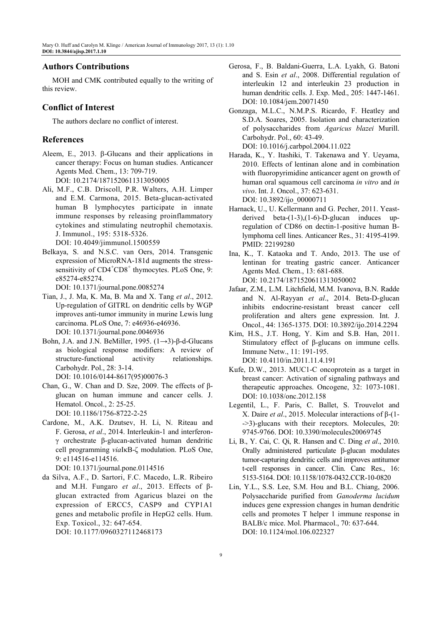# **Authors Contributions**

MOH and CMK contributed equally to the writing of this review.

## **Conflict of Interest**

The authors declare no conflict of interest.

## **References**

- Aleem, E., 2013. β-Glucans and their applications in cancer therapy: Focus on human studies. Anticancer Agents Med. Chem., 13: 709-719. DOI: 10.2174/1871520611313050005
- Ali, M.F., C.B. Driscoll, P.R. Walters, A.H. Limper and E.M. Carmona, 2015. Beta-glucan-activated human B lymphocytes participate in innate immune responses by releasing proinflammatory cytokines and stimulating neutrophil chemotaxis. J. Immunol., 195: 5318-5326. DOI: 10.4049/jimmunol.1500559
- Belkaya, S. and N.S.C. van Oers, 2014. Transgenic expression of MicroRNA-181d augments the stresssensitivity of CD4<sup>+</sup>CD8<sup>+</sup> thymocytes. PLoS One, 9: e85274-e85274.

DOI: 10.1371/journal.pone.0085274

- Tian, J., J. Ma, K. Ma, B. Ma and X. Tang *et al*., 2012. Up-regulation of GITRL on dendritic cells by WGP improves anti-tumor immunity in murine Lewis lung carcinoma. PLoS One, 7: e46936-e46936. DOI: 10.1371/journal.pone.0046936
- Bohn, J.A. and J.N. BeMiller, 1995. (1→3)-β-d-Glucans as biological response modifiers: A review of structure-functional activity relationships. Carbohydr. Pol., 28: 3-14. DOI: 10.1016/0144-8617(95)00076-3
- Chan, G., W. Chan and D. Sze, 2009. The effects of βglucan on human immune and cancer cells. J. Hematol. Oncol., 2: 25-25. DOI: 10.1186/1756-8722-2-25
- Cardone, M., A.K. Dzutsev, H. Li, N. Riteau and F. Gerosa, *et al*., 2014. Interleukin-1 and interferonγ orchestrate β-glucan-activated human dendritic cell programming *via*IκB-ζ modulation. PLoS One, 9: e114516-e114516.

DOI: 10.1371/journal.pone.0114516

da Silva, A.F., D. Sartori, F.C. Macedo, L.R. Ribeiro and M.H. Fungaro *et al*., 2013. Effects of βglucan extracted from Agaricus blazei on the expression of ERCC5, CASP9 and CYP1A1 genes and metabolic profile in HepG2 cells. Hum. Exp. Toxicol., 32: 647-654. DOI: 10.1177/0960327112468173

- Gerosa, F., B. Baldani-Guerra, L.A. Lyakh, G. Batoni and S. Esin *et al*., 2008. Differential regulation of interleukin 12 and interleukin 23 production in human dendritic cells. J. Exp. Med., 205: 1447-1461. DOI: 10.1084/jem.20071450
- Gonzaga, M.L.C., N.M.P.S. Ricardo, F. Heatley and S.D.A. Soares, 2005. Isolation and characterization of polysaccharides from *Agaricus blazei* Murill. Carbohydr. Pol., 60: 43-49. DOI: 10.1016/j.carbpol.2004.11.022
- Harada, K., Y. Itashiki, T. Takenawa and Y. Ueyama, 2010. Effects of lentinan alone and in combination with fluoropyrimidine anticancer agent on growth of human oral squamous cell carcinoma *in vitro* and *in vivo*. Int. J. Oncol., 37: 623-631. DOI: 10.3892/ijo\_00000711
- Harnack, U., U. Kellermann and G. Pecher, 2011. Yeastderived beta-(1-3),(1-6)-D-glucan induces upregulation of CD86 on dectin-1-positive human Blymphoma cell lines. Anticancer Res., 31: 4195-4199. PMID: 22199280
- Ina, K., T. Kataoka and T. Ando, 2013. The use of lentinan for treating gastric cancer. Anticancer Agents Med. Chem., 13: 681-688. DOI: 10.2174/1871520611313050002
- Jafaar, Z.M., L.M. Litchfield, M.M. Ivanova, B.N. Radde and N. Al-Rayyan *et al*., 2014. Beta-D-glucan inhibits endocrine-resistant breast cancer cell proliferation and alters gene expression. Int. J. Oncol., 44: 1365-1375. DOI: 10.3892/ijo.2014.2294
- Kim, H.S., J.T. Hong, Y. Kim and S.B. Han, 2011. Stimulatory effect of β-glucans on immune cells. Immune Netw., 11: 191-195. DOI: 10.4110/in.2011.11.4.191
- Kufe, D.W., 2013. MUC1-C oncoprotein as a target in breast cancer: Activation of signaling pathways and therapeutic approaches. Oncogene, 32: 1073-1081. DOI: 10.1038/onc.2012.158
- Legentil, L., F. Paris, C. Ballet, S. Trouvelot and X. Daire *et al*., 2015. Molecular interactions of β-(1- ->3)-glucans with their receptors. Molecules, 20: 9745-9766. DOI: 10.3390/molecules20069745
- Li, B., Y. Cai, C. Qi, R. Hansen and C. Ding *et al*., 2010. Orally administered particulate β-glucan modulates tumor-capturing dendritic cells and improves antitumor t-cell responses in cancer. Clin. Canc Res., 16: 5153-5164. DOI: 10.1158/1078-0432.CCR-10-0820
- Lin, Y.L., S.S. Lee, S.M. Hou and B.L. Chiang, 2006. Polysaccharide purified from *Ganoderma lucidum* induces gene expression changes in human dendritic cells and promotes T helper 1 immune response in BALB/c mice. Mol. Pharmacol., 70: 637-644. DOI: 10.1124/mol.106.022327